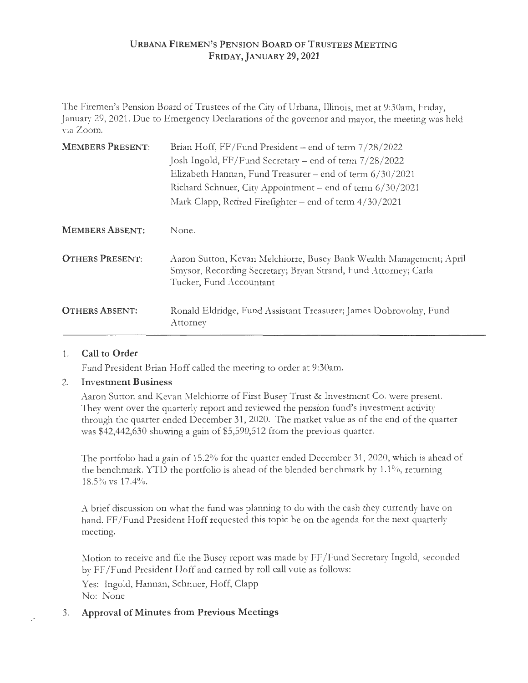## **URBAN A FIREMEN'S PENSION BOARD OF TRUSTEES M EETIN G FRIDAY,JANUARY 29, 2021**

The Firemen's Pension Board of Trustees of the City of Urbana, Illinois, met at 9:30am, Friday, January 29, 2021. Due to Emergency Declarations of the governor and mayor, the meeting was held via Zoom.

| <b>MEMBERS PRESENT:</b> | Brian Hoff, FF/Fund President - end of term 7/28/2022<br>Josh Ingold, FF/Fund Secretary - end of term 7/28/2022<br>Elizabeth Hannan, Fund Treasurer – end of term 6/30/2021<br>Richard Schnuer, City Appointment – end of term 6/30/2021<br>Mark Clapp, Retired Firefighter – end of term $4/30/2021$ |
|-------------------------|-------------------------------------------------------------------------------------------------------------------------------------------------------------------------------------------------------------------------------------------------------------------------------------------------------|
| <b>MEMBERS ABSENT:</b>  | None.                                                                                                                                                                                                                                                                                                 |
| <b>OTHERS PRESENT:</b>  | Aaron Sutton, Kevan Melchiorre, Busey Bank Wealth Management; April<br>Smysor, Recording Secretary; Bryan Strand, Fund Attorney; Carla<br>Tucker, Fund Accountant                                                                                                                                     |
| <b>OTHERS ABSENT:</b>   | Ronald Eldridge, Fund Assistant Treasurer; James Dobrovolny, Fund<br>Attorney                                                                                                                                                                                                                         |

### 1. **Call to Order**

Fund President Brian Hoff called the meeting to order at 9:30am.

### 2. **Investment Business**

Aaron Sutton and Kevan Melchiorre of First Busey Trust & Investment Co. were present. They went over the quarterly report and reviewed the pension fund's investment activity through the quarter ended December 31, 2020. The market value as of the end of the quarter was \$42,442,630 showing a gain of \$5,590,512 from the previous quarter.

The portfolio had a gain of 15.2% for the quarter ended December 31, 2020, which is ahead of the benchmark. YTD the portfolio is ahead of the blended benchmark by  $1.1\%$ , returning 18.5% vs 17.4%.

A brief discussion on what the fund was planning to do with the cash they currently have on hand. FF/Fund President Hoff requested this topic be on the agenda for the next quarterly meeting.

Motion to receive and file the Busey report was made by FF / Fund Secretary Ingold, seconded by FF/Fund President Hoff and carried by roll call vote as follows:

Yes: Ingold, Hannan, Schnuer, Hoff, Clapp No: None

# 3. **Approval of Minutes from Previous Meetings**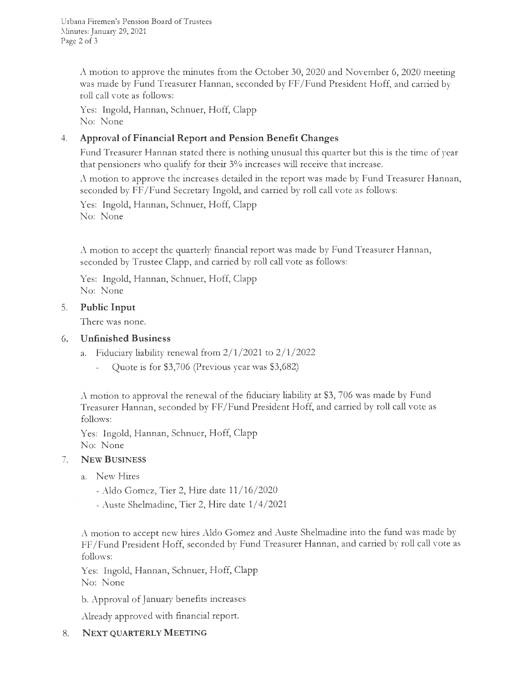Urbana Firemen's Pension Board of Trustees Minutes: January 29, 2021 Page 2 of 3

> A motion to approve the minutes from the October 30, 2020 and November 6, 2020 meeting was made by Fund Treasurer Hannan, seconded by FF / Fund President Hoff, and carried by roll call vote as follows:

Yes: Ingold, Hannan, Schnuer, Hoff, Clapp No: None

## 4. **Approval of Financial Report and Pension Benefit Changes**

Fund Treasurer Hannan stated there is nothing unusual this quarter but this is the time of year that pensioners who qualify for their 3% increases will receive that increase.

A motion to approve the increases detailed in the report was made by Fund Treasurer Hannan, seconded by FF/Fund Secretary Ingold, and carried by roll call vote as follows:

Yes: Ingold, Hannan, Schnuer, Hoff, Clapp No: None

A motion to accept the quarterly financial report was made by Fund Treasurer Hannan, seconded by Trustee Clapp, and carried by roll call vote as follows:

Yes: Ingold, Hannan, Schnuer, Hoff, Clapp No: None

### 5. **Public Input**

There was none.

#### 6. **Unfinished Business**

- a. Fiduciary liability renewal from  $2/1/2021$  to  $2/1/2022$ 
	- Quote is for \$3,706 (Previous year was \$3,682)

A motion to approval the renewal of the fiduciary liability at \$3, 706 was made by Fund Treasurer Hannan, seconded by FF / Fund President Hoff, and carried by roll call vote as follows:

Yes: Ingold, Hannan, Schnuer, Hoff, Clapp No: None

### 7. **NEW BUSINESS**

- a. New Hires
	- Aldo Gomez, Tier 2, Hire date 11 / 16/ 2020
	- Auste Shelmadine, Tier 2, Hire date  $1/4/2021$

A motion to accept new hires Aldo Gomez and Auste Shelmadine into the fund was made by FF/Fund President Hoff, seconded by Fund Treasurer Hannan, and carried by roll call vote as follows:

Yes: Ingold, Hannan, Schnuer, Hoff, Clapp No: None

b. Approval of January benefits increases

Already approved with financial report.

### 8. **NEXT QUARTERLY MEETING**